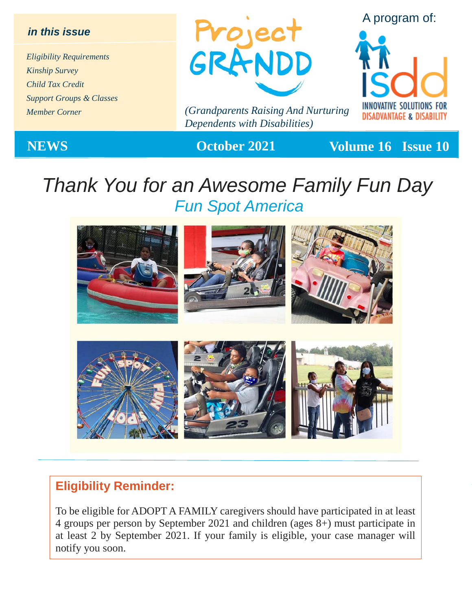#### *in this issue*

*Eligibility Requirements Kinship Survey Child Tax Credit Support Groups & Classes Member Corner*



*(Grandparents Raising And Nurturing Dependents with Disabilities)*

A program of:



**NEWS October 2021 Volume 16 Issue 10** 

## *Thank You for an Awesome Family Fun Day Fun Spot America*



#### **Eligibility Reminder:**

To be eligible for ADOPT A FAMILY caregivers should have participated in at least 4 groups per person by September 2021 and children (ages 8+) must participate in at least 2 by September 2021. If your family is eligible, your case manager will notify you soon.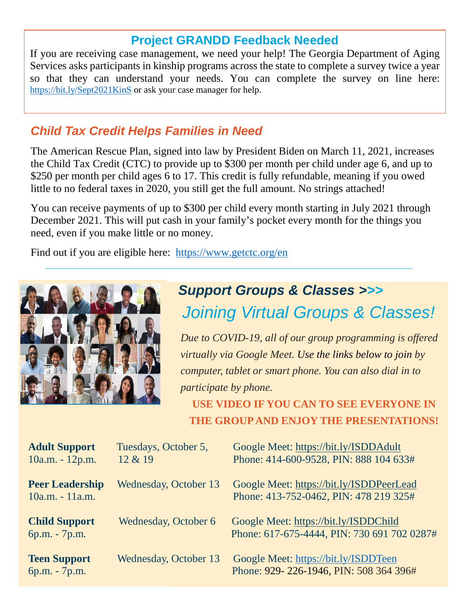### **Project GRANDD Feedback Needed**

If you are receiving case management, we need your help! The Georgia Department of Aging Services asks participants in kinship programs across the state to complete a survey twice a year so that they can understand your needs. You can complete the survey on line here: <https://bit.ly/Sept2021KinS> or ask your case manager for help.

### *Child Tax Credit Helps Families in Need*

The American Rescue Plan, signed into law by President Biden on March 11, 2021, increases the Child Tax Credit (CTC) to provide up to \$300 per month per child under age 6, and up to \$250 per month per child ages 6 to 17. This credit is fully refundable, meaning if you owed little to no federal taxes in 2020, you still get the full amount. No strings attached!

You can receive payments of up to \$300 per child every month starting in July 2021 through December 2021. This will put cash in your family's pocket every month for the things you need, even if you make little or no money.

Find out if you are eligible here: <https://www.getctc.org/en>



### *Support Groups & Classes >>> Joining Virtual Groups & Classes!*

*Due to COVID-19, all of our group programming is offered virtually via Google Meet. Use the links below to join by computer, tablet or smart phone. You can also dial in to participate by phone.* 

**USE VIDEO IF YOU CAN TO SEE EVERYONE IN THE GROUP AND ENJOY THE PRESENTATIONS!**

| <b>Adult Support</b><br>10a.m. - 12p.m.   | Tuesdays, October 5,<br>12 & 19 | Google Meet: https://bit.ly/ISDDAdult<br>Phone: 414-600-9528, PIN: 888 104 633#      |
|-------------------------------------------|---------------------------------|--------------------------------------------------------------------------------------|
| <b>Peer Leadership</b><br>10a.m. - 11a.m. | Wednesday, October 13           | Google Meet: https://bit.ly/ISDDPeerLead<br>Phone: 413-752-0462, PIN: 478 219 325#   |
| <b>Child Support</b><br>6p.m. - 7p.m.     | Wednesday, October 6            | Google Meet: https://bit.ly/ISDDChild<br>Phone: 617-675-4444, PIN: 730 691 702 0287# |
| <b>Teen Support</b><br>6p.m. - 7p.m.      | Wednesday, October 13           | Google Meet: https://bit.ly/ISDDTeen<br>Phone: 929-226-1946, PIN: 508 364 396#       |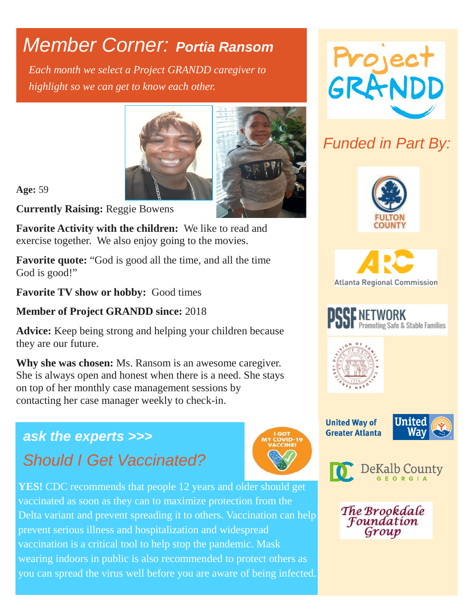## *Member Corner: Portia Ransom*

*Each month we select a Project GRANDD caregiver to highlight so we can get to know each other.* 





#### **Age:** 59

**Currently Raising:** Reggie Bowens

**Favorite Activity with the children:** We like to read and exercise together. We also enjoy going to the movies.

**Favorite quote:** "God is good all the time, and all the time God is good!"

**Favorite TV show or hobby:** Good times

#### **Member of Project GRANDD since:** 2018

**Advice:** Keep being strong and helping your children because they are our future.

**Why she was chosen:** Ms. Ransom is an awesome caregiver. She is always open and honest when there is a need. She stays on top of her monthly case management sessions by contacting her case manager weekly to check-in.

### *ask the experts >>> Should I Get Vaccinated?*





### *Funded in Part By:*





**F NETWORK**<br>Promoting Safe & Stable Families



**United Way of Greater Atlanta** 





The Brookdale Foundation Group